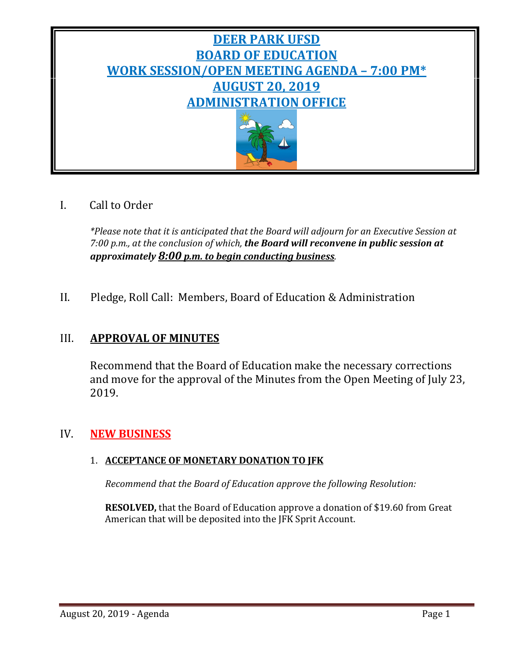

# I. Call to Order

*\*Please note that it is anticipated that the Board will adjourn for an Executive Session at 7:00 p.m., at the conclusion of which, the Board will reconvene in public session at approximately 8:00 p.m. to begin conducting business.*

II. Pledge, Roll Call: Members, Board of Education & Administration

# III. **APPROVAL OF MINUTES**

Recommend that the Board of Education make the necessary corrections and move for the approval of the Minutes from the Open Meeting of July 23, 2019.

# IV. **NEW BUSINESS**

# 1. **ACCEPTANCE OF MONETARY DONATION TO JFK**

*Recommend that the Board of Education approve the following Resolution:*

**RESOLVED,** that the Board of Education approve a donation of \$19.60 from Great American that will be deposited into the JFK Sprit Account.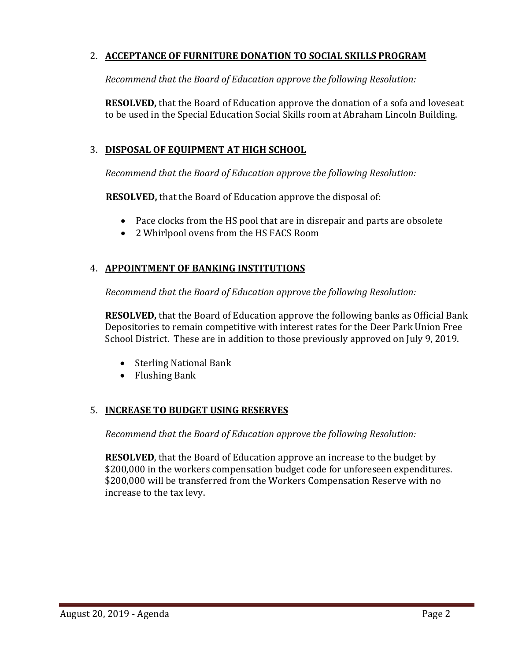### 2. **ACCEPTANCE OF FURNITURE DONATION TO SOCIAL SKILLS PROGRAM**

*Recommend that the Board of Education approve the following Resolution:*

**RESOLVED,** that the Board of Education approve the donation of a sofa and loveseat to be used in the Special Education Social Skills room at Abraham Lincoln Building.

### 3. **DISPOSAL OF EQUIPMENT AT HIGH SCHOOL**

*Recommend that the Board of Education approve the following Resolution:*

**RESOLVED,** that the Board of Education approve the disposal of:

- Pace clocks from the HS pool that are in disrepair and parts are obsolete
- 2 Whirlpool ovens from the HS FACS Room

# 4. **APPOINTMENT OF BANKING INSTITUTIONS**

*Recommend that the Board of Education approve the following Resolution:*

**RESOLVED,** that the Board of Education approve the following banks as Official Bank Depositories to remain competitive with interest rates for the Deer Park Union Free School District. These are in addition to those previously approved on July 9, 2019.

- Sterling National Bank
- Flushing Bank

#### 5. **INCREASE TO BUDGET USING RESERVES**

*Recommend that the Board of Education approve the following Resolution:*

**RESOLVED**, that the Board of Education approve an increase to the budget by \$200,000 in the workers compensation budget code for unforeseen expenditures. \$200,000 will be transferred from the Workers Compensation Reserve with no increase to the tax levy.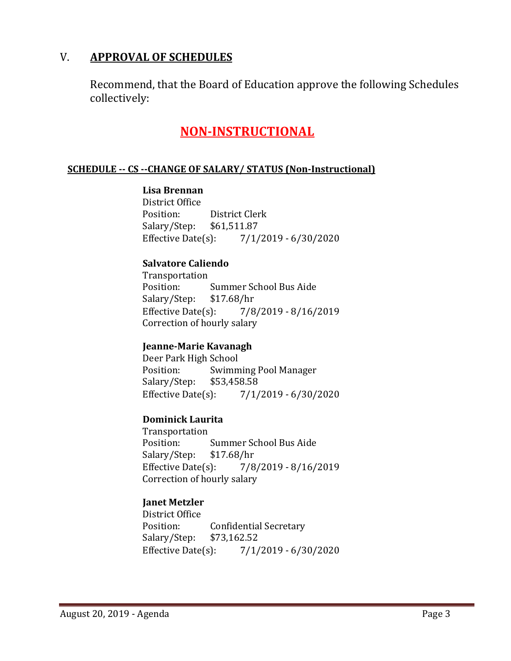# V. **APPROVAL OF SCHEDULES**

Recommend, that the Board of Education approve the following Schedules collectively:

# **NON-INSTRUCTIONAL**

#### **SCHEDULE -- CS --CHANGE OF SALARY/ STATUS (Non-Instructional)**

#### **Lisa Brennan**

District Office<br>Position: District Clerk<br>\$61,511.87 Salary/Step: \$61,5<br>Effective Date(s):  $7/1/2019 - 6/30/2020$ 

#### **Salvatore Caliendo**

Transportation Summer School Bus Aide<br>\$17.68/hr Salary/Step: Effective Date(s): 7/8/2019 - 8/16/2019 Correction of hourly salary

#### **Jeanne-Marie Kavanagh**

Deer Park High School<br>Position: Swimm Swimming Pool Manager<br>\$53,458.58 Salary/Step: \$53,458.58  $7/1/2019 - 6/30/2020$ 

#### **Dominick Laurita**

Transportation<br>Position: Summer School Bus Aide<br>\$17.68/hr Salary/Step: Effective Date(s): 7/8/2019 - 8/16/2019 Correction of hourly salary

# **Janet Metzler**

District Office<br>Position: Confidential Secretary<br>\$73,162.52 Salary/Step: \$73,1<br>Effective Date(s):  $7/1/2019 - 6/30/2020$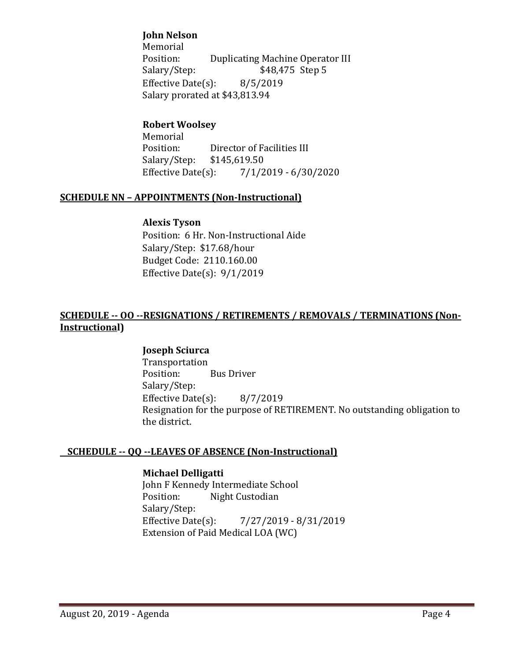### **John Nelson**

Memorial<br>Position: Position: Duplicating Machine Operator III<br>Salary/Step: \$48,475 Step 5 \$48,475 Step 5<br>8/5/2019 Effective Date $(s)$ : Salary prorated at \$43,813.94

# **Robert Woolsey**

Memorial<br>Position: Director of Facilities III<br>\$145,619.50 Salary/Step: \$1<br>Effective Date(s):  $7/1/2019 - 6/30/2020$ 

#### **SCHEDULE NN – APPOINTMENTS (Non-Instructional)**

#### **Alexis Tyson**

Position: 6 Hr. Non-Instructional Aide Salary/Step: \$17.68/hour Budget Code: 2110.160.00 Effective Date(s): 9/1/2019

#### **SCHEDULE -- OO --RESIGNATIONS / RETIREMENTS / REMOVALS / TERMINATIONS (Non-Instructional)**

#### **Joseph Sciurca**

Transportation<br>Position: **Bus Driver** Salary/Step: Effective Date(s): 8/7/2019 Resignation for the purpose of RETIREMENT. No outstanding obligation to the district.

#### **SCHEDULE -- QQ --LEAVES OF ABSENCE (Non-Instructional)**

#### **Michael Delligatti**

John F Kennedy Intermediate School<br>Position: Night Custodian Night Custodian Salary/Step:<br>Effective Date(s): Effective Date(s): 7/27/2019 - 8/31/2019 Extension of Paid Medical LOA (WC)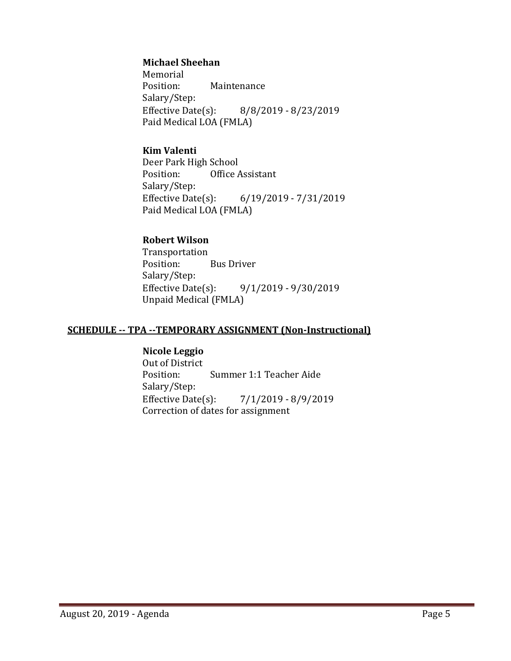#### **Michael Sheehan**

Memorial<br>Position: **Maintenance** Salary/Step:<br>Effective Date(s): Effective Date(s): 8/8/2019 - 8/23/2019 Paid Medical LOA (FMLA)

#### **Kim Valenti**

Deer Park High School<br>Position: Office Office Assistant Salary/Step:<br>Effective Date(s): Effective Date(s): 6/19/2019 - 7/31/2019 Paid Medical LOA (FMLA)

#### **Robert Wilson**

Transportation Bus Driver Salary/Step:<br>Effective Date(s): Effective Date(s): 9/1/2019 - 9/30/2019 Unpaid Medical (FMLA)

#### **SCHEDULE -- TPA --TEMPORARY ASSIGNMENT (Non-Instructional)**

#### **Nicole Leggio**

Out of District<br>Position: Summer 1:1 Teacher Aide Salary/Step:<br>Effective Date(s):  $7/1/2019 - 8/9/2019$ Correction of dates for assignment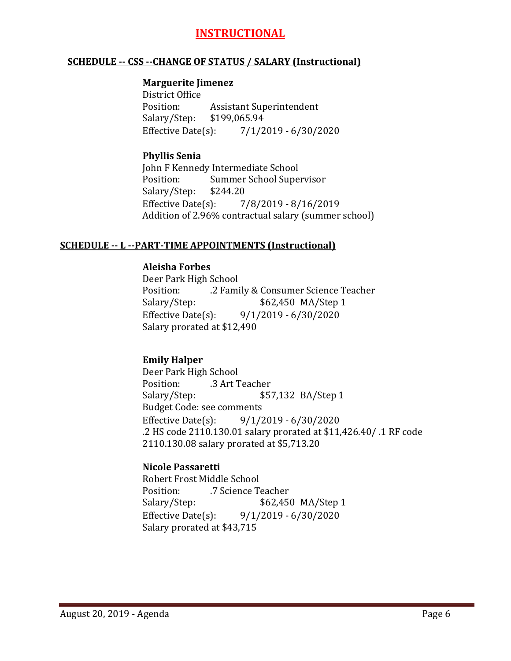# **INSTRUCTIONAL**

#### **SCHEDULE -- CSS --CHANGE OF STATUS / SALARY (Instructional)**

#### **Marguerite Jimenez**

District Office<br>Position: Assistant Superintendent<br>\$199,065.94 Salary/Step: \$1<br>Effective Date(s):  $7/1/2019 - 6/30/2020$ 

#### **Phyllis Senia**

John F Kennedy Intermediate School<br>Position: Summer School Supe Summer School Supervisor<br>\$244.20 Salary/Step: Effective Date(s): 7/8/2019 - 8/16/2019 Addition of 2.96% contractual salary (summer school)

#### **SCHEDULE -- L --PART-TIME APPOINTMENTS (Instructional)**

#### **Aleisha Forbes**

Deer Park High School Position: .2 Family & Consumer Science Teacher \$62,450 MA/Step 1 Effective Date(s): 9/1/2019 - 6/30/2020 Salary prorated at \$12,490

### **Emily Halper**

Deer Park High School Position: .3 Art Teacher<br>Salary/Step: \$5 \$57,132 BA/Step 1 Budget Code: see comments<br>Effective Date(s): 9/1/2 Effective Date(s): 9/1/2019 - 6/30/2020 .2 HS code 2110.130.01 salary prorated at \$11,426.40/ .1 RF code 2110.130.08 salary prorated at \$5,713.20

#### **Nicole Passaretti**

Robert Frost Middle School<br>Position: 7 Science T Position: .7 Science Teacher<br>Salary/Step: \$62,450 Salary/Step: \$62,450 MA/Step 1<br>Effective Date(s): 9/1/2019 - 6/30/2020  $9/1/2019 - 6/30/2020$ Salary prorated at \$43,715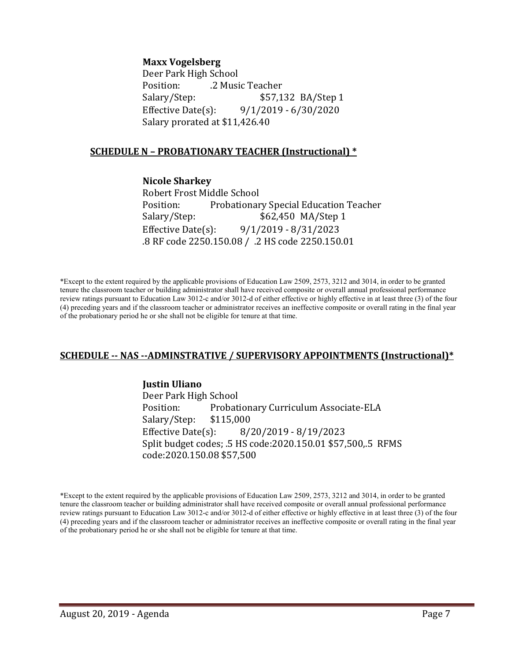#### **Maxx Vogelsberg**

Deer Park High School<br>Position: . . . . . . . . 2 Musi Position: .2 Music Teacher \$57,132 BA/Step 1 Effective Date(s): 9/1/2019 - 6/30/2020 Salary prorated at \$11,426.40

#### **SCHEDULE N – PROBATIONARY TEACHER (Instructional) \***

**Nicole Sharkey** Robert Frost Middle School<br>Position: Probationar Position: Probationary Special Education Teacher<br>Salary/Step: \$62,450 MA/Step 1 \$62,450 MA/Step 1 Effective Date(s): 9/1/2019 - 8/31/2023 .8 RF code 2250.150.08 / .2 HS code 2250.150.01

\*Except to the extent required by the applicable provisions of Education Law 2509, 2573, 3212 and 3014, in order to be granted tenure the classroom teacher or building administrator shall have received composite or overall annual professional performance review ratings pursuant to Education Law 3012-c and/or 3012-d of either effective or highly effective in at least three (3) of the four (4) preceding years and if the classroom teacher or administrator receives an ineffective composite or overall rating in the final year of the probationary period he or she shall not be eligible for tenure at that time.

#### **SCHEDULE -- NAS --ADMINSTRATIVE / SUPERVISORY APPOINTMENTS (Instructional)\***

#### **Justin Uliano**

Deer Park High School Probationary Curriculum Associate-ELA<br>\$115,000 Salary/Step: \$1<br>Effective Date(s): Effective Date(s): 8/20/2019 - 8/19/2023 Split budget codes; .5 HS code:2020.150.01 \$57,500,.5 RFMS code:2020.150.08 \$57,500

\*Except to the extent required by the applicable provisions of Education Law 2509, 2573, 3212 and 3014, in order to be granted tenure the classroom teacher or building administrator shall have received composite or overall annual professional performance review ratings pursuant to Education Law 3012-c and/or 3012-d of either effective or highly effective in at least three (3) of the four (4) preceding years and if the classroom teacher or administrator receives an ineffective composite or overall rating in the final year of the probationary period he or she shall not be eligible for tenure at that time.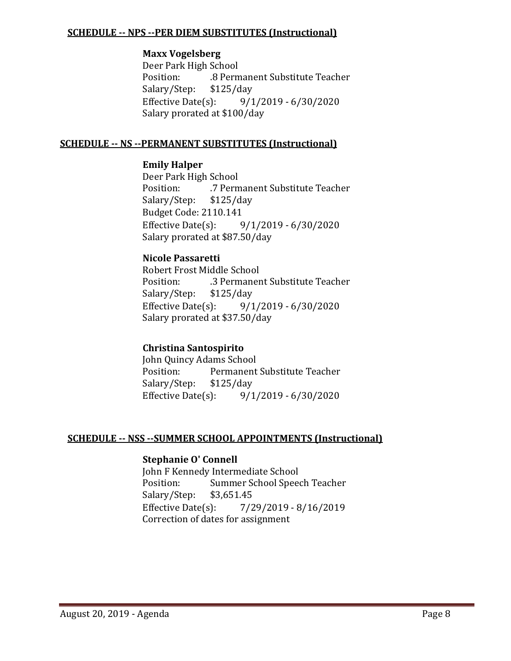#### **SCHEDULE -- NPS --PER DIEM SUBSTITUTES (Instructional)**

#### **Maxx Vogelsberg**

Deer Park High School .8 Permanent Substitute Teacher<br>\$125/day Salary/Step: \$1<br>Effective Date(s): Effective Date(s): 9/1/2019 - 6/30/2020 Salary prorated at \$100/day

#### **SCHEDULE -- NS --PERMANENT SUBSTITUTES (Instructional)**

#### **Emily Halper**

Deer Park High School<br>Position: 7 Perm .7 Permanent Substitute Teacher<br>\$125/day Salary/Step: Budget Code: 2110.141<br>Effective Date(s): 9  $9/1/2019 - 6/30/2020$ Salary prorated at \$87.50/day

#### **Nicole Passaretti**

Robert Frost Middle School .3 Permanent Substitute Teacher<br>\$125/day Salary/Step: \$1<br>Effective Date(s):  $9/1/2019 - 6/30/2020$ Salary prorated at \$37.50/day

#### **Christina Santospirito**

John Quincy Adams School<br>Position: Permanent Permanent Substitute Teacher<br>\$125/day Salary/Step: \$1.<br>Effective Date(s):  $9/1/2019 - 6/30/2020$ 

# **SCHEDULE -- NSS --SUMMER SCHOOL APPOINTMENTS (Instructional)**

# **Stephanie O' Connell**

John F Kennedy Intermediate School<br>Position: Summer School Spee Summer School Speech Teacher<br>\$3,651.45 Salary/Step: \$3<br>Effective Date(s): Effective Date(s): 7/29/2019 - 8/16/2019 Correction of dates for assignment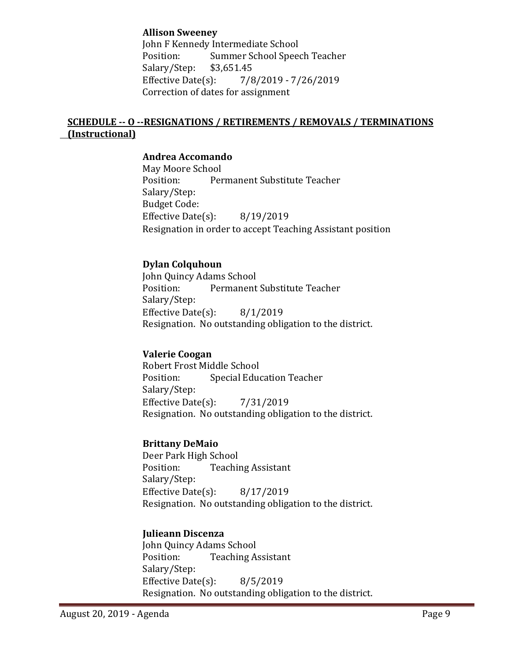#### **Allison Sweeney**

John F Kennedy Intermediate School<br>Position: Summer School Speed Summer School Speech Teacher<br>\$3,651.45 Salary/Step: \$3,<br>Effective Date(s): Effective Date(s): 7/8/2019 - 7/26/2019 Correction of dates for assignment

# **SCHEDULE -- O --RESIGNATIONS / RETIREMENTS / REMOVALS / TERMINATIONS (Instructional)**

#### **Andrea Accomando**

May Moore School Permanent Substitute Teacher Salary/Step: Budget Code: Effective Date(s): 8/19/2019 Resignation in order to accept Teaching Assistant position

#### **Dylan Colquhoun**

John Quincy Adams School<br>Position: Permanent Permanent Substitute Teacher Salary/Step: Effective Date(s): 8/1/2019 Resignation. No outstanding obligation to the district.

#### **Valerie Coogan**

Robert Frost Middle School **Special Education Teacher** Salary/Step: Effective Date(s): 7/31/2019 Resignation. No outstanding obligation to the district.

#### **Brittany DeMaio**

Deer Park High School<br>Position: Teachii **Teaching Assistant** Salary/Step: Effective Date(s): 8/17/2019 Resignation. No outstanding obligation to the district.

#### **Julieann Discenza**

John Quincy Adams School<br>Position: Teaching A **Teaching Assistant** Salary/Step: Effective Date(s): 8/5/2019 Resignation. No outstanding obligation to the district.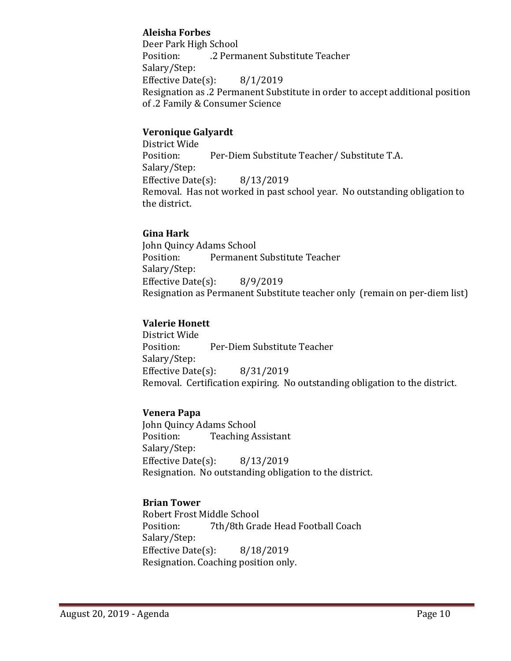### **Aleisha Forbes**

Deer Park High School .2 Permanent Substitute Teacher Salary/Step: Effective Date(s): 8/1/2019 Resignation as .2 Permanent Substitute in order to accept additional position of .2 Family & Consumer Science

### **Veronique Galyardt**

District Wide Per-Diem Substitute Teacher/ Substitute T.A. Salary/Step: Effective Date(s): 8/13/2019 Removal. Has not worked in past school year. No outstanding obligation to the district.

#### **Gina Hark**

John Quincy Adams School<br>Position: Permanent Permanent Substitute Teacher Salary/Step: Effective Date(s): 8/9/2019 Resignation as Permanent Substitute teacher only (remain on per-diem list)

# **Valerie Honett**

District Wide Per-Diem Substitute Teacher Salary/Step: Effective Date(s): 8/31/2019 Removal. Certification expiring. No outstanding obligation to the district.

# **Venera Papa**

John Quincy Adams School<br>Position: Teaching A **Teaching Assistant** Salary/Step: Effective Date(s): 8/13/2019 Resignation. No outstanding obligation to the district.

# **Brian Tower**

Robert Frost Middle School<br>Position: 7th/8th Gra 7th/8th Grade Head Football Coach Salary/Step: Effective Date(s): 8/18/2019 Resignation. Coaching position only.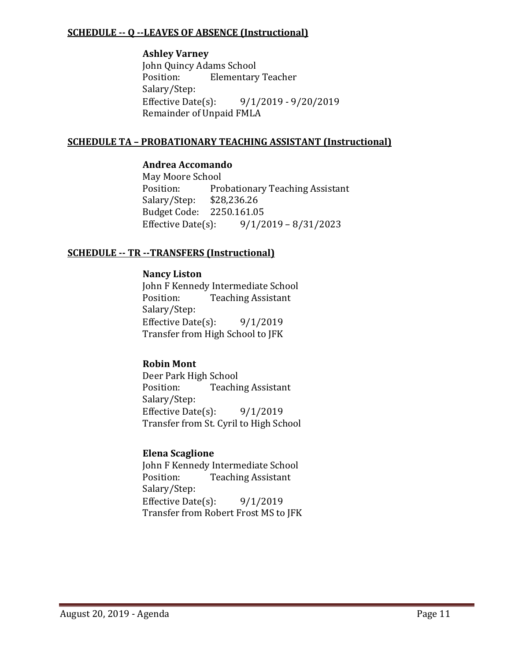#### **SCHEDULE -- Q --LEAVES OF ABSENCE (Instructional)**

#### **Ashley Varney**

John Quincy Adams School<br>Position: Elementary **Elementary Teacher** Salary/Step:<br>Effective Date(s): Effective Date(s): 9/1/2019 - 9/20/2019 Remainder of Unpaid FMLA

#### **SCHEDULE TA – PROBATIONARY TEACHING ASSISTANT (Instructional)**

#### **Andrea Accomando**

May Moore School<br>Position: Pro Probationary Teaching Assistant<br>\$28,236.26 Salary/Step: Budget Code: 2250.161.05<br>Effective Date(s): 9/1/2  $9/1/2019 - 8/31/2023$ 

### **SCHEDULE -- TR --TRANSFERS (Instructional)**

#### **Nancy Liston**

John F Kennedy Intermediate School<br>Position: Teaching Assistant **Teaching Assistant** Salary/Step: Effective Date $(s)$ : 9/1/2019 Transfer from High School to JFK

#### **Robin Mont**

Deer Park High School<br>Position: Teachii **Teaching Assistant** Salary/Step: Effective Date(s):  $9/1/2019$ Transfer from St. Cyril to High School

# **Elena Scaglione**

John F Kennedy Intermediate School<br>Position: Teaching Assistant **Teaching Assistant** Salary/Step: Effective Date $(s)$ : 9/1/2019 Transfer from Robert Frost MS to JFK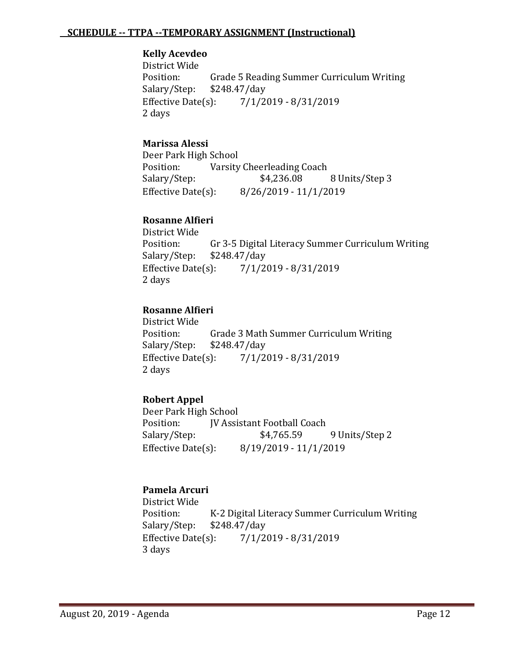#### **SCHEDULE -- TTPA --TEMPORARY ASSIGNMENT (Instructional)**

#### **Kelly Acevdeo**

District Wide<br>Position: Grade 5 Reading Summer Curriculum Writing<br>\$248.47/day Salary/Step: \$2<br>Effective Date(s): Effective Date(s): 7/1/2019 - 8/31/2019 2 days

### **Marissa Alessi**

Deer Park High School<br>Position: Varsity Position: Varsity Cheerleading Coach<br>Salary/Step: \$4,236.08 8 Units/Step 3 Effective Date(s): 8/26/2019 - 11/1/2019

### **Rosanne Alfieri**

District Wide Gr 3-5 Digital Literacy Summer Curriculum Writing \$248.47/day Salary/Step: \$2<br>Effective Date(s): Effective Date(s): 7/1/2019 - 8/31/2019 2 days

#### **Rosanne Alfieri**

District Wide Grade 3 Math Summer Curriculum Writing<br>\$248.47/day Salary/Step: \$2<br>Effective Date(s): Effective Date(s): 7/1/2019 - 8/31/2019 2 days

# **Robert Appel**

Deer Park High School<br>Position: [V Assi Position: JV Assistant Football Coach<br>Salary/Step: \$4,765.59 9 Units/Step 2 Effective Date(s): 8/19/2019 - 11/1/2019

#### **Pamela Arcuri**

District Wide Position: K-2 Digital Literacy Summer Curriculum Writing<br>Salary/Step: \$248.47/day Salary/Step: \$248.47/day<br>Effective Date(s): 7/1/2 Effective Date(s): 7/1/2019 - 8/31/2019 3 days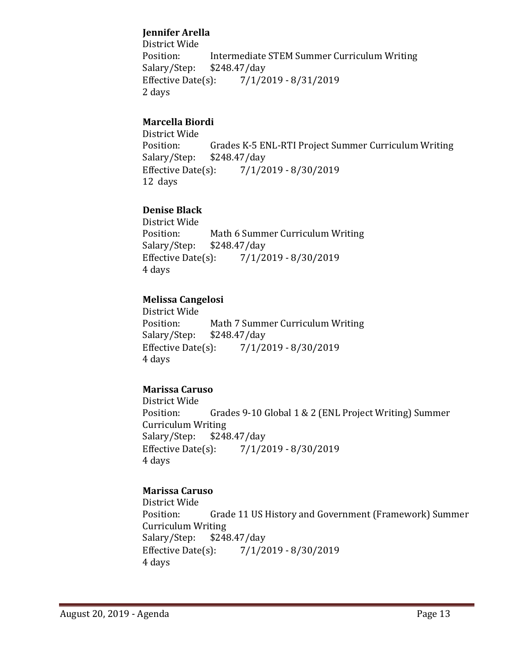# **Jennifer Arella**

District Wide Intermediate STEM Summer Curriculum Writing<br>\$248.47/day Salary/Step: \$2<br>Effective Date(s): Effective Date(s): 7/1/2019 - 8/31/2019 2 days

# **Marcella Biordi**

District Wide Position: Grades K-5 ENL-RTI Project Summer Curriculum Writing<br>Salary/Step: \$248.47/day Salary/Step: \$248.47/day<br>Effective Date(s): 7/1/2  $7/1/2019 - 8/30/2019$ 12 days

# **Denise Black**

District Wide Math 6 Summer Curriculum Writing<br>\$248.47/day Salary/Step: \$2<br>Effective Date(s):  $7/1/2019 - 8/30/2019$ 4 days

#### **Melissa Cangelosi**

District Wide Math 7 Summer Curriculum Writing<br>\$248.47/day Salary/Step: \$2<br>Effective Date(s): Effective Date(s): 7/1/2019 - 8/30/2019 4 days

# **Marissa Caruso**

District Wide Grades 9-10 Global 1 & 2 (ENL Project Writing) Summer Curriculum Writing<br>Salary/Step: \$248 Salary/Step: \$248.47/day<br>Effective Date(s): 7/1/2 Effective Date(s): 7/1/2019 - 8/30/2019 4 days

# **Marissa Caruso**

District Wide Grade 11 US History and Government (Framework) Summer Curriculum Writing<br>Salary/Step: \$248.47/day Salary/Step: \$2<br>Effective Date(s): Effective Date(s): 7/1/2019 - 8/30/2019 4 days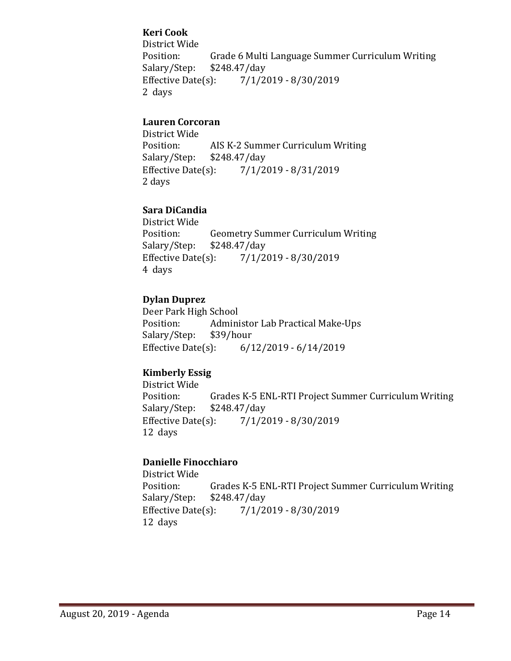# **Keri Cook**

District Wide Position: Grade 6 Multi Language Summer Curriculum Writing<br>Salary/Step: \$248.47/day Salary/Step: \$248.47/day<br>Effective Date(s): 7/1/2  $7/1/2019 - 8/30/2019$ 2 days

### **Lauren Corcoran**

District Wide AIS K-2 Summer Curriculum Writing<br>\$248.47/day Salary/Step: \$2<br>Effective Date(s):  $7/1/2019 - 8/31/2019$ 2 days

#### **Sara DiCandia**

District Wide Position: Geometry Summer Curriculum Writing<br>Salary/Step: \$248.47/day Salary/Step: \$248.47/day<br>Effective Date(s): 7/1/2  $7/1/2019 - 8/30/2019$ 4 days

#### **Dylan Duprez**

Deer Park High School Administor Lab Practical Make-Ups<br>\$39/hour Salary/Step: \$3<br>Effective Date(s): Effective Date(s): 6/12/2019 - 6/14/2019

# **Kimberly Essig**

District Wide Position: Grades K-5 ENL-RTI Project Summer Curriculum Writing<br>Salary/Step: \$248.47/day Salary/Step: \$248.47/day<br>Effective Date(s): 7/1/2  $7/1/2019 - 8/30/2019$ 12 days

#### **Danielle Finocchiaro**

District Wide Grades K-5 ENL-RTI Project Summer Curriculum Writing \$248.47/day Salary/Step: \$2<br>Effective Date(s):  $7/1/2019 - 8/30/2019$ 12 days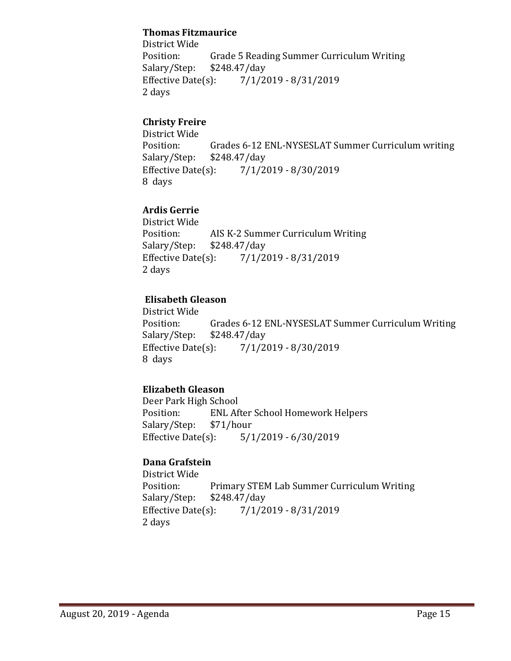#### **Thomas Fitzmaurice**

District Wide Grade 5 Reading Summer Curriculum Writing<br>\$248.47/day Salary/Step: \$2<br>Effective Date(s): Effective Date(s): 7/1/2019 - 8/31/2019 2 days

# **Christy Freire**

District Wide Grades 6-12 ENL-NYSESLAT Summer Curriculum writing \$248.47/day Salary/Step: \$2<br>Effective Date(s):  $7/1/2019 - 8/30/2019$ 8 days

# **Ardis Gerrie**

District Wide AIS K-2 Summer Curriculum Writing<br>\$248.47/day Salary/Step: \$2<br>Effective Date(s):  $7/1/2019 - 8/31/2019$ 2 days

#### **Elisabeth Gleason**

District Wide Position: Grades 6-12 ENL-NYSESLAT Summer Curriculum Writing<br>Salary/Step: \$248.47/day Salary/Step: \$248.47/day<br>Effective Date(s): 7/1/2 Effective Date(s): 7/1/2019 - 8/30/2019 8 days

# **Elizabeth Gleason**

Deer Park High School<br>Position: ENL Af ENL After School Homework Helpers<br>\$71/hour Salary/Step: \$7<br>Effective Date(s):  $5/1/2019 - 6/30/2019$ 

#### **Dana Grafstein**

District Wide Primary STEM Lab Summer Curriculum Writing<br>\$248.47/day Salary/Step: \$2<br>Effective Date(s):  $7/1/2019 - 8/31/2019$ 2 days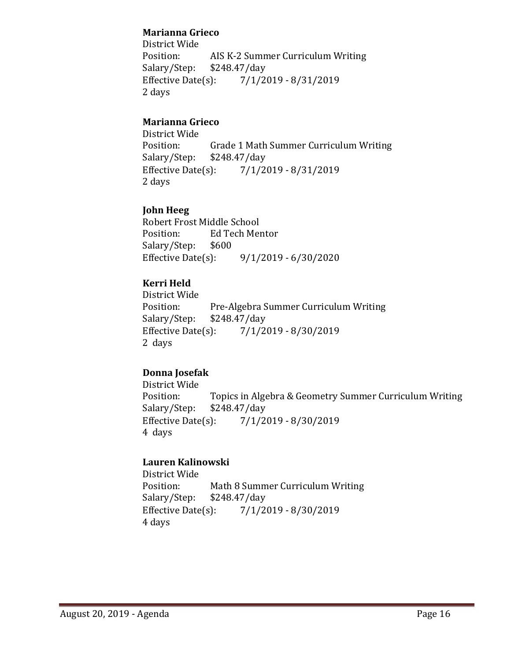### **Marianna Grieco**

District Wide AIS K-2 Summer Curriculum Writing<br>\$248.47/day Salary/Step: \$2<br>Effective Date(s): Effective Date(s): 7/1/2019 - 8/31/2019 2 days

# **Marianna Grieco**

District Wide Grade 1 Math Summer Curriculum Writing<br>\$248.47/day Salary/Step: \$2<br>Effective Date(s):  $7/1/2019 - 8/31/2019$ 2 days

# **John Heeg**

Robert Frost Middle School<br>Position: Ed Tech Mer Ed Tech Mentor<br>\$600 Salary/Step: \$6<br>Effective Date(s):  $9/1/2019 - 6/30/2020$ 

# **Kerri Held**

District Wide Pre-Algebra Summer Curriculum Writing<br>\$248.47/day Salary/Step: \$2<br>Effective Date(s):  $7/1/2019 - 8/30/2019$ 2 days

# **Donna Josefak**

District Wide Position: Topics in Algebra & Geometry Summer Curriculum Writing<br>Salary/Step: \$248.47/day Salary/Step: \$248.47/day<br>Effective Date(s): 7/1/2  $7/1/2019 - 8/30/2019$ 4 days

# **Lauren Kalinowski**

District Wide Math 8 Summer Curriculum Writing<br>\$248.47/day Salary/Step: \$2<br>Effective Date(s):  $7/1/2019 - 8/30/2019$ 4 days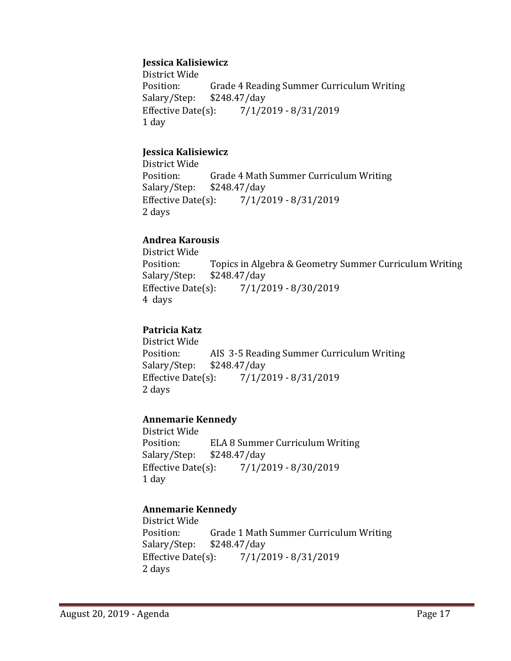#### **Jessica Kalisiewicz**

District Wide<br>Position: Grade 4 Reading Summer Curriculum Writing<br>\$248.47/day Salary/Step: \$2<br>Effective Date(s): Effective Date(s): 7/1/2019 - 8/31/2019 1 day

#### **Jessica Kalisiewicz**

District Wide Grade 4 Math Summer Curriculum Writing<br>\$248.47/day Salary/Step: \$2<br>Effective Date(s): Effective Date(s): 7/1/2019 - 8/31/2019 2 days

#### **Andrea Karousis**

District Wide Topics in Algebra & Geometry Summer Curriculum Writing \$248.47/day Salary/Step: Effective Date(s): 7/1/2019 - 8/30/2019 4 days

#### **Patricia Katz**

District Wide AIS 3-5 Reading Summer Curriculum Writing<br>\$248.47/day Salary/Step: \$24<br>Effective Date(s): Effective Date(s): 7/1/2019 - 8/31/2019 2 days

#### **Annemarie Kennedy**

District Wide<br>Position: ELA 8 Summer Curriculum Writing<br>\$248.47/day Salary/Step: Effective Date(s): 7/1/2019 - 8/30/2019 1 day

# **Annemarie Kennedy**

District Wide Grade 1 Math Summer Curriculum Writing<br>\$248.47/day Salary/Step: \$24<br>Effective Date(s):  $7/1/2019 - 8/31/2019$ 2 days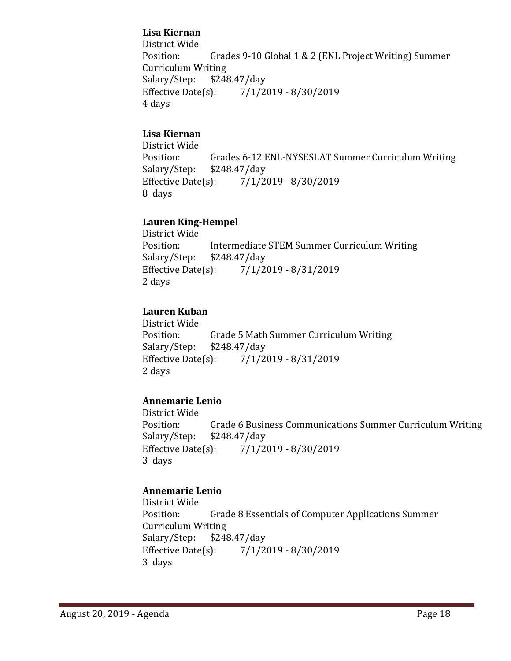### **Lisa Kiernan**

District Wide Grades 9-10 Global 1 & 2 (ENL Project Writing) Summer Curriculum Writing<br>Salary/Step: \$248.47/day Salary/Step: \$2<br>Effective Date(s):  $7/1/2019 - 8/30/2019$ 4 days

### **Lisa Kiernan**

District Wide Grades 6-12 ENL-NYSESLAT Summer Curriculum Writing \$248.47/day Salary/Step: \$2<br>Effective Date(s): Effective Date(s): 7/1/2019 - 8/30/2019 8 days

#### **Lauren King-Hempel**

District Wide Intermediate STEM Summer Curriculum Writing<br>\$248.47/day Salary/Step: \$2<br>Effective Date(s): Effective Date(s): 7/1/2019 - 8/31/2019 2 days

#### **Lauren Kuban**

District Wide Grade 5 Math Summer Curriculum Writing<br>\$248.47/dav Salary/Step: \$2<br>Effective Date(s):  $7/1/2019 - 8/31/2019$ 2 days

# **Annemarie Lenio**

District Wide Position: Grade 6 Business Communications Summer Curriculum Writing<br>Salary/Step: \$248.47/day Salary/Step: \$248.47/day<br>Effective Date(s): 7/1/2 Effective Date(s): 7/1/2019 - 8/30/2019 3 days

# **Annemarie Lenio**

District Wide Grade 8 Essentials of Computer Applications Summer Curriculum Writing<br>Salary/Step: \$248.47/day Salary/Step: \$2<br>Effective Date(s): Effective Date(s): 7/1/2019 - 8/30/2019 3 days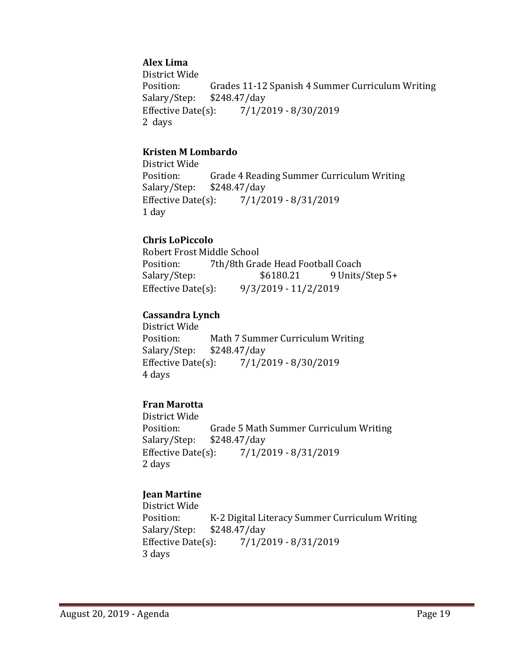# **Alex Lima**

District Wide Position: Grades 11-12 Spanish 4 Summer Curriculum Writing<br>Salary/Step: \$248.47/day Salary/Step: \$248.47/day<br>Effective Date(s): 7/1/2  $7/1/2019 - 8/30/2019$ 2 days

#### **Kristen M Lombardo**

District Wide Grade 4 Reading Summer Curriculum Writing<br>\$248.47/day Salary/Step: Effective Date(s): 7/1/2019 - 8/31/2019 1 day

#### **Chris LoPiccolo**

Robert Frost Middle School<br>Position: 7th/8th Gra Position: 7th/8th Grade Head Football Coach<br>Salary/Step: \$6180.21 9 Units/ 9 Units/Step 5+ Effective Date(s): 9/3/2019 - 11/2/2019

# **Cassandra Lynch**

District Wide Position: Math 7 Summer Curriculum Writing<br>Salary/Step: \$248.47/day Salary/Step: \$248.47/day<br>Effective Date(s): 7/1/2  $7/1/2019 - 8/30/2019$ 4 days

# **Fran Marotta**

District Wide<br>Position: Grade 5 Math Summer Curriculum Writing<br>\$248.47/day Salary/Step: \$2<br>Effective Date(s): Effective Date(s): 7/1/2019 - 8/31/2019 2 days

# **Jean Martine**

District Wide Position: K-2 Digital Literacy Summer Curriculum Writing<br>Salary/Step: \$248.47/day Salary/Step: \$248.47/day<br>Effective Date(s): 7/1/2  $7/1/2019 - 8/31/2019$ 3 days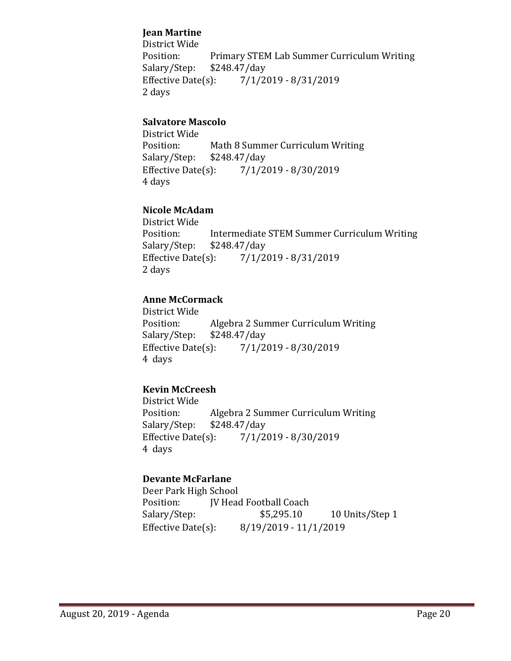### **Jean Martine**

District Wide Position: Primary STEM Lab Summer Curriculum Writing<br>Salary/Step: \$248.47/day Salary/Step: \$248.47/day<br>Effective Date(s): 7/1/2  $7/1/2019 - 8/31/2019$ 2 days

### **Salvatore Mascolo**

District Wide Math 8 Summer Curriculum Writing<br>\$248.47/day Salary/Step: \$2<br>Effective Date(s):  $7/1/2019 - 8/30/2019$ 4 days

#### **Nicole McAdam**

District Wide Position: Intermediate STEM Summer Curriculum Writing<br>Salary/Step: \$248.47/day Salary/Step: \$248.47/day<br>Effective Date(s): 7/1/2  $7/1/2019 - 8/31/2019$ 2 days

# **Anne McCormack**

District Wide Position: Algebra 2 Summer Curriculum Writing<br>Salary/Step: \$248.47/day Salary/Step: \$248.47/day<br>Effective Date(s): 7/1/2 Effective Date(s): 7/1/2019 - 8/30/2019 4 days

# **Kevin McCreesh**

District Wide Algebra 2 Summer Curriculum Writing<br>\$248.47/day Salary/Step: \$2<br>Effective Date(s):  $7/1/2019 - 8/30/2019$ 4 days

# **Devante McFarlane**

Deer Park High School<br>Position: [V Head Position: JV Head Football Coach<br>Salary/Step: \$5,295.10 10 Units/Step 1 Effective Date(s): 8/19/2019 - 11/1/2019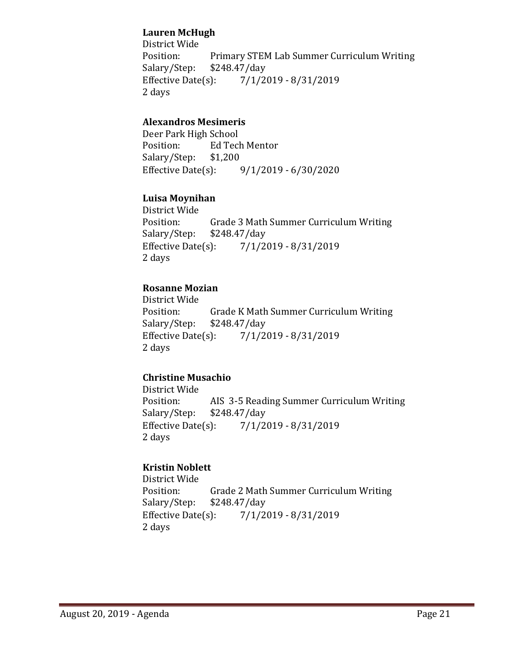### **Lauren McHugh**

District Wide Position: Primary STEM Lab Summer Curriculum Writing<br>Salary/Step: \$248.47/day Salary/Step: \$248.47/day<br>Effective Date(s): 7/1/2 Effective Date(s): 7/1/2019 - 8/31/2019 2 days

# **Alexandros Mesimeris**

Deer Park High School<br>Position: Ed Tecl Ed Tech Mentor<br>\$1,200 Salary/Step: \$1<br>Effective Date(s):  $9/1/2019 - 6/30/2020$ 

#### **Luisa Moynihan**

District Wide Position: Grade 3 Math Summer Curriculum Writing<br>Salary/Step: \$248.47/day  $$248.47/day$ Effective Date(s): 7/1/2019 - 8/31/2019 2 days

# **Rosanne Mozian**

District Wide Grade K Math Summer Curriculum Writing<br>\$248.47/day Salary/Step: \$2<br>Effective Date(s):  $7/1/2019 - 8/31/2019$ 2 days

# **Christine Musachio**

District Wide AIS 3-5 Reading Summer Curriculum Writing<br>\$248.47/day Salary/Step: \$2<br>Effective Date(s): Effective Date(s): 7/1/2019 - 8/31/2019 2 days

# **Kristin Noblett**

District Wide Grade 2 Math Summer Curriculum Writing<br>\$248.47/day Salary/Step: \$2<br>Effective Date(s):  $7/1/2019 - 8/31/2019$ 2 days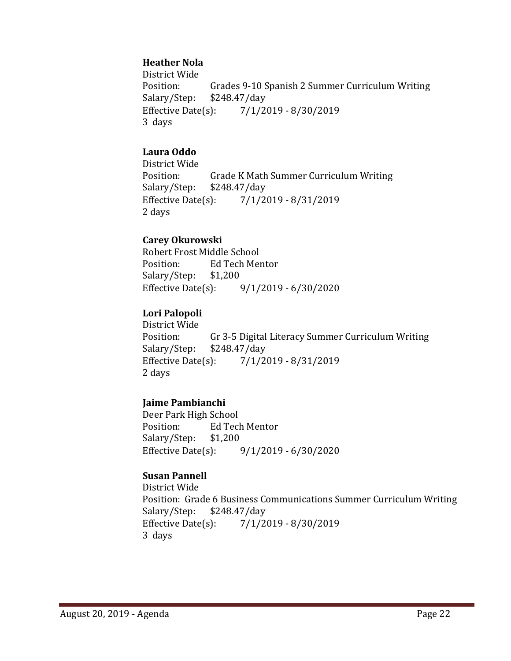### **Heather Nola**

District Wide Grades 9-10 Spanish 2 Summer Curriculum Writing \$248.47/day Salary/Step: \$2<br>Effective Date(s):  $7/1/2019 - 8/30/2019$ 3 days

# **Laura Oddo**

District Wide Grade K Math Summer Curriculum Writing<br>\$248.47/day Salary/Step: Effective Date(s): 7/1/2019 - 8/31/2019 2 days

#### **Carey Okurowski**

Robert Frost Middle School<br>Position: Ed Tech Mer Ed Tech Mentor<br>\$1,200 Salary/Step: Effective Date(s): 9/1/2019 - 6/30/2020

#### **Lori Palopoli**

District Wide<br>Position: Position: Gr 3-5 Digital Literacy Summer Curriculum Writing<br>Salary/Step: \$248.47/day  $$248.47$ /day Effective Date(s): 7/1/2019 - 8/31/2019 2 days

#### **Jaime Pambianchi**

Deer Park High School<br>Position: Ed Tecl Ed Tech Mentor<br>\$1.200 Salary/Step: \$1<br>Effective Date(s):  $9/1/2019 - 6/30/2020$ 

#### **Susan Pannell**

District Wide Position: Grade 6 Business Communications Summer Curriculum Writing<br>Salary/Step: \$248.47/day Salary/Step: \$2<br>Effective Date(s):  $7/1/2019 - 8/30/2019$ 3 days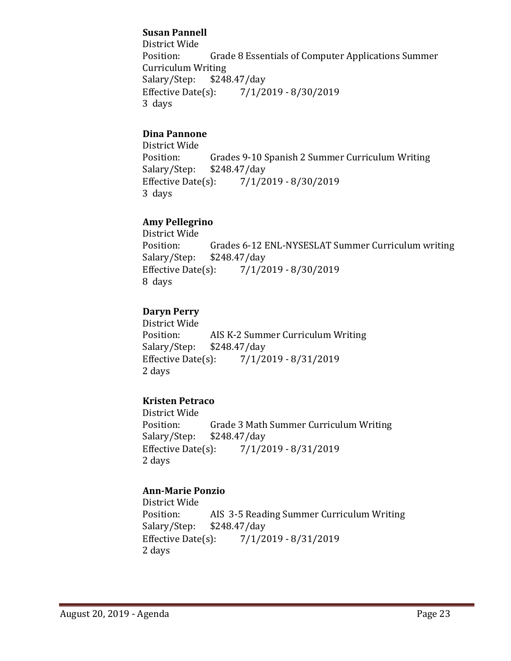### **Susan Pannell**

District Wide Grade 8 Essentials of Computer Applications Summer Curriculum Writing<br>Salary/Step: \$248.47/day Salary/Step: \$2<br>Effective Date(s):  $7/1/2019 - 8/30/2019$ 3 days

#### **Dina Pannone**

District Wide Grades 9-10 Spanish 2 Summer Curriculum Writing \$248.47/day Salary/Step: \$2<br>Effective Date(s): Effective Date(s): 7/1/2019 - 8/30/2019 3 days

# **Amy Pellegrino**

District Wide Grades 6-12 ENL-NYSESLAT Summer Curriculum writing \$248.47/day Salary/Step: \$2<br>Effective Date(s):  $7/1/2019 - 8/30/2019$ 8 days

#### **Daryn Perry**

District Wide AIS K-2 Summer Curriculum Writing<br>\$248.47/dav Salary/Step: \$2<br>Effective Date(s):  $7/1/2019 - 8/31/2019$ 2 days

# **Kristen Petraco**

District Wide Position: Grade 3 Math Summer Curriculum Writing<br>Salary/Step: \$248.47/day Salary/Step: \$248.47/day<br>Effective Date(s): 7/1/2 Effective Date(s): 7/1/2019 - 8/31/2019 2 days

# **Ann-Marie Ponzio**

District Wide Position: AIS 3-5 Reading Summer Curriculum Writing<br>Salary/Step: \$248.47/day Salary/Step: \$248.47/day<br>Effective Date(s): 7/1/2  $7/1/2019 - 8/31/2019$ 2 days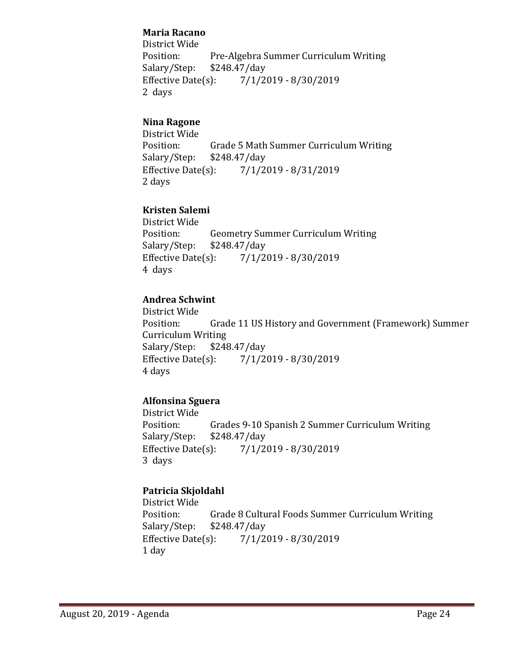### **Maria Racano**

District Wide Position: Pre-Algebra Summer Curriculum Writing<br>Salary/Step: \$248.47/day Salary/Step: \$248.47/day<br>Effective Date(s): 7/1/2  $7/1/2019 - 8/30/2019$ 2 days

# **Nina Ragone**

District Wide Grade 5 Math Summer Curriculum Writing<br>\$248.47/day Salary/Step: \$2<br>Effective Date(s):  $7/1/2019 - 8/31/2019$ 2 days

# **Kristen Salemi**

District Wide Position: Geometry Summer Curriculum Writing<br>Salary/Step: \$248.47/day Salary/Step: \$248.47/day<br>Effective Date(s): 7/1/2  $7/1/2019 - 8/30/2019$ 4 days

# **Andrea Schwint**

District Wide Grade 11 US History and Government (Framework) Summer Curriculum Writing<br>Salary/Step: \$248.47/day Salary/Step: \$2<br>Effective Date(s):  $7/1/2019 - 8/30/2019$ 4 days

# **Alfonsina Sguera**

District Wide Position: Grades 9-10 Spanish 2 Summer Curriculum Writing<br>Salary/Step: \$248.47/day Salary/Step: \$248.47/day<br>Effective Date(s): 7/1/2  $7/1/2019 - 8/30/2019$ 3 days

# **Patricia Skjoldahl**

District Wide Position: Grade 8 Cultural Foods Summer Curriculum Writing<br>Salary/Step: \$248.47/day Salary/Step: \$248.47/day<br>Effective Date(s): 7/1/20  $7/1/2019 - 8/30/2019$ 1 day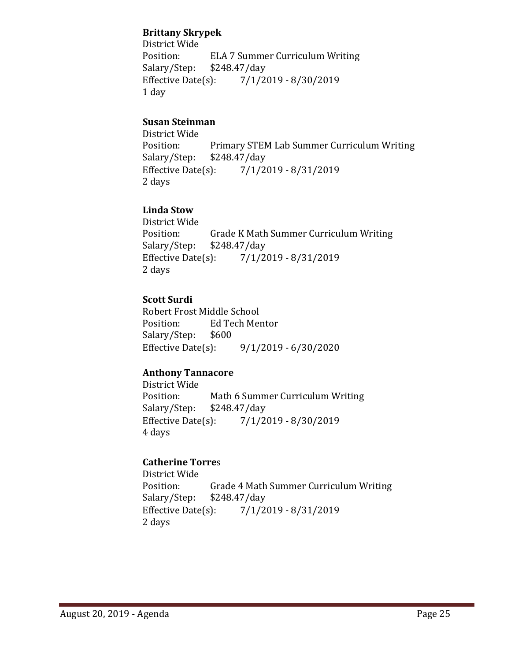### **Brittany Skrypek**

District Wide ELA 7 Summer Curriculum Writing<br>\$248.47/day Salary/Step: \$2<br>Effective Date(s):  $7/1/2019 - 8/30/2019$ 1 day

# **Susan Steinman**

District Wide Position: Primary STEM Lab Summer Curriculum Writing<br>Salary/Step: \$248.47/day Salary/Step: \$248.47/day<br>Effective Date(s): 7/1/2  $7/1/2019 - 8/31/2019$ 2 days

# **Linda Stow**

District Wide Grade K Math Summer Curriculum Writing<br>\$248.47/day Salary/Step: \$2<br>Effective Date(s):  $7/1/2019 - 8/31/2019$ 2 days

# **Scott Surdi**

Robert Frost Middle School Ed Tech Mentor<br>\$600 Salary/Step: Effective Date(s): 9/1/2019 - 6/30/2020

# **Anthony Tannacore**

District Wide Position: Math 6 Summer Curriculum Writing<br>Salary/Step: \$248.47/day Salary/Step: \$248.47/day<br>Effective Date(s): 7/1/20  $7/1/2019 - 8/30/2019$ 4 days

# **Catherine Torre**s

District Wide Grade 4 Math Summer Curriculum Writing<br>\$248.47/dav Salary/Step: \$2<br>Effective Date(s):  $7/1/2019 - 8/31/2019$ 2 days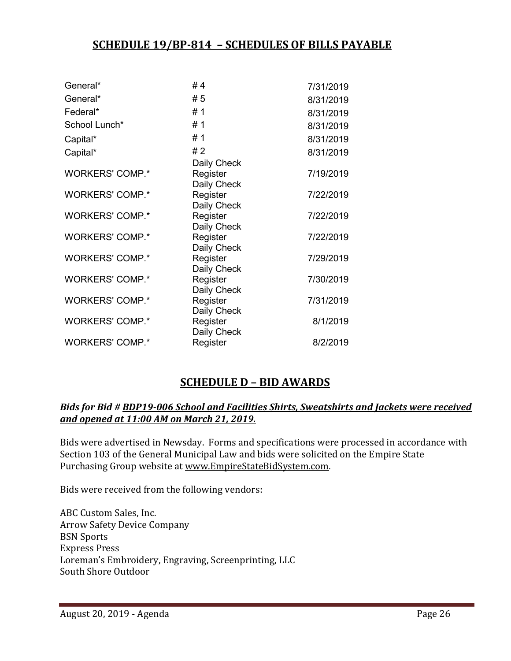# **SCHEDULE 19/BP-814 – SCHEDULES OF BILLS PAYABLE**

| General*               | #4          | 7/31/2019 |
|------------------------|-------------|-----------|
| General*               | # 5         | 8/31/2019 |
| Federal*               | #1          | 8/31/2019 |
| School Lunch*          | #1          | 8/31/2019 |
| Capital*               | #1          | 8/31/2019 |
| Capital*               | #2          | 8/31/2019 |
|                        | Daily Check |           |
| <b>WORKERS' COMP.*</b> | Register    | 7/19/2019 |
|                        | Daily Check |           |
| <b>WORKERS' COMP.*</b> | Register    | 7/22/2019 |
|                        | Daily Check |           |
| <b>WORKERS' COMP.*</b> | Register    | 7/22/2019 |
|                        | Daily Check |           |
| <b>WORKERS' COMP.*</b> | Register    | 7/22/2019 |
|                        | Daily Check |           |
| <b>WORKERS' COMP.*</b> | Register    | 7/29/2019 |
|                        | Daily Check |           |
| <b>WORKERS' COMP.*</b> | Register    | 7/30/2019 |
|                        | Daily Check |           |
| <b>WORKERS' COMP.*</b> | Register    | 7/31/2019 |
|                        | Daily Check |           |
| <b>WORKERS' COMP.*</b> | Register    | 8/1/2019  |
|                        | Daily Check |           |
| <b>WORKERS' COMP.*</b> | Register    | 8/2/2019  |

# **SCHEDULE D – BID AWARDS**

#### *Bids for Bid # BDP19-006 School and Facilities Shirts, Sweatshirts and Jackets were received and opened at 11:00 AM on March 21, 2019.*

Bids were advertised in Newsday. Forms and specifications were processed in accordance with Section 103 of the General Municipal Law and bids were solicited on the Empire State Purchasing Group website at [www.EmpireStateBidSystem.com.](http://www.empirestatebidsystem.com/)

Bids were received from the following vendors:

ABC Custom Sales, Inc. Arrow Safety Device Company BSN Sports Express Press Loreman's Embroidery, Engraving, Screenprinting, LLC South Shore Outdoor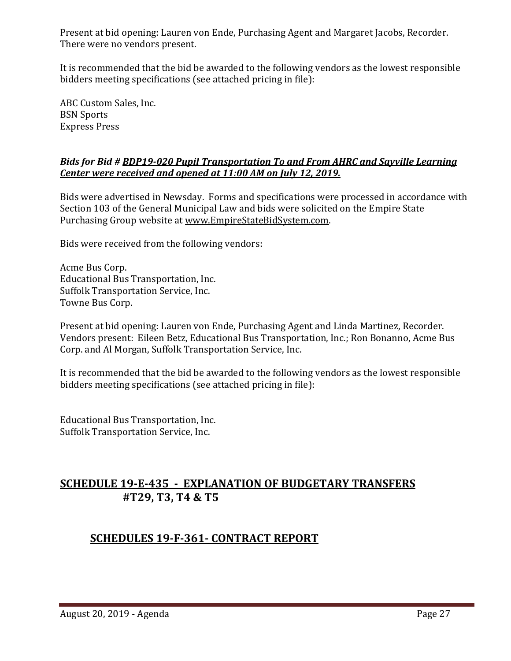Present at bid opening: Lauren von Ende, Purchasing Agent and Margaret Jacobs, Recorder. There were no vendors present.

It is recommended that the bid be awarded to the following vendors as the lowest responsible bidders meeting specifications (see attached pricing in file):

ABC Custom Sales, Inc. BSN Sports Express Press

### *Bids for Bid # BDP19-020 Pupil Transportation To and From AHRC and Sayville Learning Center were received and opened at 11:00 AM on July 12, 2019.*

Bids were advertised in Newsday. Forms and specifications were processed in accordance with Section 103 of the General Municipal Law and bids were solicited on the Empire State Purchasing Group website at [www.EmpireStateBidSystem.com.](http://www.empirestatebidsystem.com/)

Bids were received from the following vendors:

Acme Bus Corp. Educational Bus Transportation, Inc. Suffolk Transportation Service, Inc. Towne Bus Corp.

Present at bid opening: Lauren von Ende, Purchasing Agent and Linda Martinez, Recorder. Vendors present: Eileen Betz, Educational Bus Transportation, Inc.; Ron Bonanno, Acme Bus Corp. and Al Morgan, Suffolk Transportation Service, Inc.

It is recommended that the bid be awarded to the following vendors as the lowest responsible bidders meeting specifications (see attached pricing in file):

Educational Bus Transportation, Inc. Suffolk Transportation Service, Inc.

# **SCHEDULE 19-E-435 - EXPLANATION OF BUDGETARY TRANSFERS #T29, T3, T4 & T5**

# **SCHEDULES 19-F-361- CONTRACT REPORT**